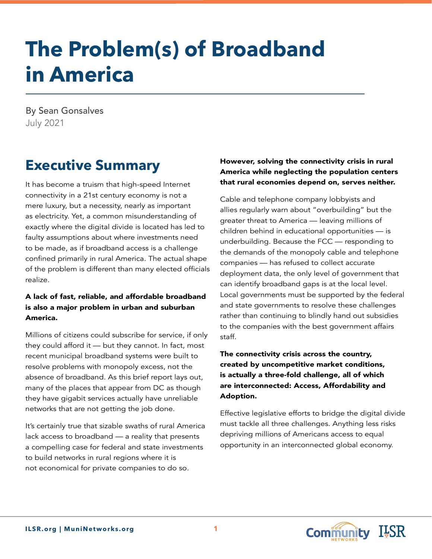# **The Problem(s) of Broadband in America**

By Sean Gonsalves July 2021

## **Executive Summary**

It has become a truism that high-speed Internet connectivity in a 21st century economy is not a mere luxury, but a necessity, nearly as important as electricity. Yet, a common misunderstanding of exactly where the digital divide is located has led to faulty assumptions about where investments need to be made, as if broadband access is a challenge confined primarily in rural America. The actual shape of the problem is different than many elected officials realize.

#### A lack of fast, reliable, and affordable broadband is also a major problem in urban and suburban America.

Millions of citizens could subscribe for service, if only they could afford it — but they cannot. In fact, most recent municipal broadband systems were built to resolve problems with monopoly excess, not the absence of broadband. As this brief report lays out, many of the places that appear from DC as though they have gigabit services actually have unreliable networks that are not getting the job done.

It's certainly true that sizable swaths of rural America lack access to broadband — a reality that presents a compelling case for federal and state investments to build networks in rural regions where it is not economical for private companies to do so.

#### However, solving the connectivity crisis in rural America while neglecting the population centers that rural economies depend on, serves neither.

Cable and telephone company lobbyists and allies regularly warn about "overbuilding" but the greater threat to America — leaving millions of children behind in educational opportunities — is underbuilding. Because the FCC — responding to the demands of the monopoly cable and telephone companies — has refused to collect accurate deployment data, the only level of government that can identify broadband gaps is at the local level. Local governments must be supported by the federal and state governments to resolve these challenges rather than continuing to blindly hand out subsidies to the companies with the best government affairs staff.

#### The connectivity crisis across the country, created by uncompetitive market conditions, is actually a three-fold challenge, all of which are interconnected: Access, Affordability and Adoption.

Effective legislative efforts to bridge the digital divide must tackle all three challenges. Anything less risks depriving millions of Americans access to equal opportunity in an interconnected global economy.

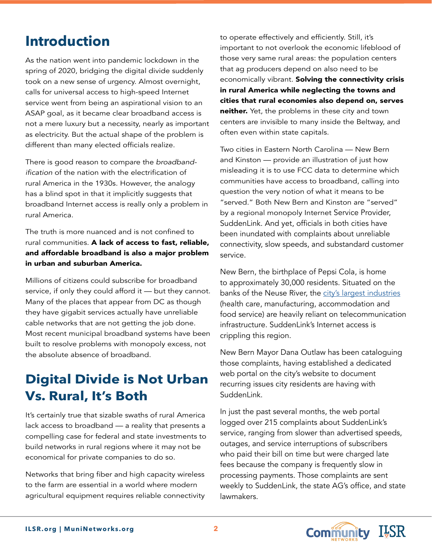### **Introduction**

As the nation went into pandemic lockdown in the spring of 2020, bridging the digital divide suddenly took on a new sense of urgency. Almost overnight, calls for universal access to high-speed Internet service went from being an aspirational vision to an ASAP goal, as it became clear broadband access is not a mere luxury but a necessity, nearly as important as electricity. But the actual shape of the problem is different than many elected officials realize.

There is good reason to compare the *broadband*ification of the nation with the electrification of rural America in the 1930s. However, the analogy has a blind spot in that it implicitly suggests that broadband Internet access is really only a problem in rural America.

The truth is more nuanced and is not confined to rural communities. A lack of access to fast, reliable, and affordable broadband is also a major problem in urban and suburban America.

Millions of citizens could subscribe for broadband service, if only they could afford it — but they cannot. Many of the places that appear from DC as though they have gigabit services actually have unreliable cable networks that are not getting the job done. Most recent municipal broadband systems have been built to resolve problems with monopoly excess, not the absolute absence of broadband.

### **Digital Divide is Not Urban Vs. Rural, It's Both**

It's certainly true that sizable swaths of rural America lack access to broadband — a reality that presents a compelling case for federal and state investments to build networks in rural regions where it may not be economical for private companies to do so.

Networks that bring fiber and high capacity wireless to the farm are essential in a world where modern agricultural equipment requires reliable connectivity to operate effectively and efficiently. Still, it's important to not overlook the economic lifeblood of those very same rural areas: the population centers that ag producers depend on also need to be economically vibrant. Solving the connectivity crisis in rural America while neglecting the towns and cities that rural economies also depend on, serves neither. Yet, the problems in these city and town centers are invisible to many inside the Beltway, and often even within state capitals.

Two cities in Eastern North Carolina — New Bern and Kinston — provide an illustration of just how misleading it is to use FCC data to determine which communities have access to broadband, calling into question the very notion of what it means to be "served." Both New Bern and Kinston are "served" by a regional monopoly Internet Service Provider, SuddenLink. And yet, officials in both cities have been inundated with complaints about unreliable connectivity, slow speeds, and substandard customer service.

New Bern, the birthplace of Pepsi Cola, is home to approximately 30,000 residents. Situated on the banks of the Neuse River, the [city's largest industries](https://datausa.io/profile/geo/new-bern-nc/#economy) (health care, manufacturing, accommodation and food service) are heavily reliant on telecommunication infrastructure. SuddenLink's Internet access is crippling this region.

New Bern Mayor Dana Outlaw has been cataloguing those complaints, having established a dedicated web portal on the city's website to document recurring issues city residents are having with SuddenLink.

In just the past several months, the web portal logged over 215 complaints about SuddenLink's service, ranging from slower than advertised speeds, outages, and service interruptions of subscribers who paid their bill on time but were charged late fees because the company is frequently slow in processing payments. Those complaints are sent weekly to SuddenLink, the state AG's office, and state lawmakers.

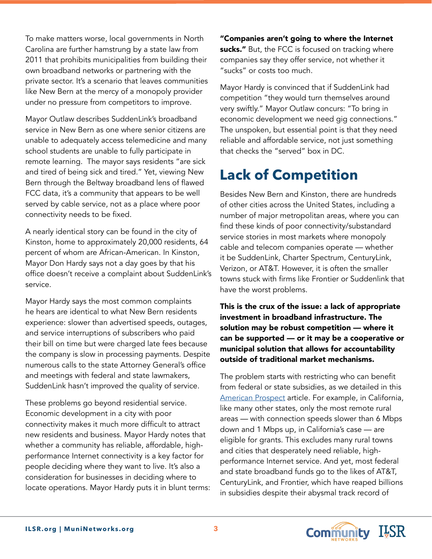To make matters worse, local governments in North Carolina are further hamstrung by a state law from 2011 that prohibits municipalities from building their own broadband networks or partnering with the private sector. It's a scenario that leaves communities like New Bern at the mercy of a monopoly provider under no pressure from competitors to improve.

Mayor Outlaw describes SuddenLink's broadband service in New Bern as one where senior citizens are unable to adequately access telemedicine and many school students are unable to fully participate in remote learning. The mayor says residents "are sick and tired of being sick and tired." Yet, viewing New Bern through the Beltway broadband lens of flawed FCC data, it's a community that appears to be well served by cable service, not as a place where poor connectivity needs to be fixed.

A nearly identical story can be found in the city of Kinston, home to approximately 20,000 residents, 64 percent of whom are African-American. In Kinston, Mayor Don Hardy says not a day goes by that his office doesn't receive a complaint about SuddenLink's service.

Mayor Hardy says the most common complaints he hears are identical to what New Bern residents experience: slower than advertised speeds, outages, and service interruptions of subscribers who paid their bill on time but were charged late fees because the company is slow in processing payments. Despite numerous calls to the state Attorney General's office and meetings with federal and state lawmakers, SuddenLink hasn't improved the quality of service.

These problems go beyond residential service. Economic development in a city with poor connectivity makes it much more difficult to attract new residents and business. Mayor Hardy notes that whether a community has reliable, affordable, highperformance Internet connectivity is a key factor for people deciding where they want to live. It's also a consideration for businesses in deciding where to locate operations. Mayor Hardy puts it in blunt terms: "Companies aren't going to where the Internet sucks." But, the FCC is focused on tracking where companies say they offer service, not whether it "sucks" or costs too much.

Mayor Hardy is convinced that if SuddenLink had competition "they would turn themselves around very swiftly." Mayor Outlaw concurs: "To bring in economic development we need gig connections." The unspoken, but essential point is that they need reliable and affordable service, not just something that checks the "served" box in DC.

# **Lack of Competition**

Besides New Bern and Kinston, there are hundreds of other cities across the United States, including a number of major metropolitan areas, where you can find these kinds of poor connectivity/substandard service stories in most markets where monopoly cable and telecom companies operate — whether it be SuddenLink, Charter Spectrum, CenturyLink, Verizon, or AT&T. However, it is often the smaller towns stuck with firms like Frontier or Suddenlink that have the worst problems.

This is the crux of the issue: a lack of appropriate investment in broadband infrastructure. The solution may be robust competition — where it can be supported — or it may be a cooperative or municipal solution that allows for accountability outside of traditional market mechanisms.

The problem starts with restricting who can benefit from federal or state subsidies, as we detailed in this [American Prospect](https://prospect.org/economy/biden-proposes-government-create-broadband-competition/) article. For example, in California, like many other states, only the most remote rural areas — with connection speeds slower than 6 Mbps down and 1 Mbps up, in California's case — are eligible for grants. This excludes many rural towns and cities that desperately need reliable, highperformance Internet service. And yet, most federal and state broadband funds go to the likes of AT&T, CenturyLink, and Frontier, which have reaped billions in subsidies despite their abysmal track record of

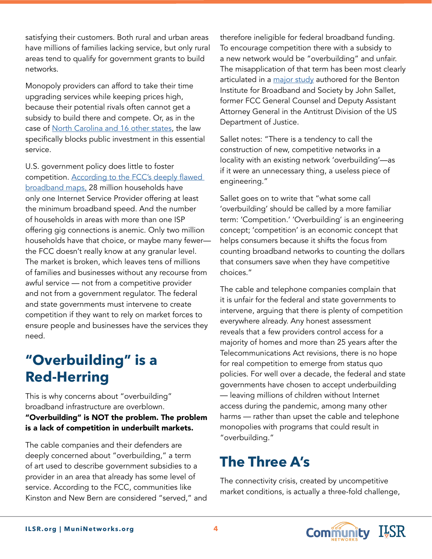satisfying their customers. Both rural and urban areas have millions of families lacking service, but only rural areas tend to qualify for government grants to build networks.

Monopoly providers can afford to take their time upgrading services while keeping prices high, because their potential rivals often cannot get a subsidy to build there and compete. Or, as in the case of [North Carolina and 16 other states](https://muninetworks.org/content/washington-state-removes-all-barriers-municipal-broadband), the law specifically blocks public investment in this essential service.

U.S. government policy does little to foster competition. [According to the FCC's deeply flawed](https://muninetworks.org/content/when-you-can%E2%80%99t-trust-data-broadband)  [broadband maps,](https://muninetworks.org/content/when-you-can%E2%80%99t-trust-data-broadband) 28 million households have only one Internet Service Provider offering at least the minimum broadband speed. And the number of households in areas with more than one ISP offering gig connections is anemic. Only two million households have that choice, or maybe many fewer the FCC doesn't really know at any granular level. The market is broken, which leaves tens of millions of families and businesses without any recourse from awful service — not from a competitive provider and not from a government regulator. The federal and state governments must intervene to create competition if they want to rely on market forces to ensure people and businesses have the services they need.

# **"Overbuilding" is a Red-Herring**

This is why concerns about "overbuilding" broadband infrastructure are overblown. "Overbuilding" is NOT the problem. The problem is a lack of competition in underbuilt markets.

The cable companies and their defenders are deeply concerned about "overbuilding," a term of art used to describe government subsidies to a provider in an area that already has some level of service. According to the FCC, communities like Kinston and New Bern are considered "served," and therefore ineligible for federal broadband funding. To encourage competition there with a subsidy to a new network would be "overbuilding" and unfair. The misapplication of that term has been most clearly articulated in a [major study](https://www.benton.org/sites/default/files/BBA_full_F5_10.30.pdf) authored for the Benton Institute for Broadband and Society by John Sallet, former FCC General Counsel and Deputy Assistant Attorney General in the Antitrust Division of the US Department of Justice.

Sallet notes: "There is a tendency to call the construction of new, competitive networks in a locality with an existing network 'overbuilding'—as if it were an unnecessary thing, a useless piece of engineering."

Sallet goes on to write that "what some call 'overbuilding' should be called by a more familiar term: 'Competition.' 'Overbuilding' is an engineering concept; 'competition' is an economic concept that helps consumers because it shifts the focus from counting broadband networks to counting the dollars that consumers save when they have competitive choices."

The cable and telephone companies complain that it is unfair for the federal and state governments to intervene, arguing that there is plenty of competition everywhere already. Any honest assessment reveals that a few providers control access for a majority of homes and more than 25 years after the Telecommunications Act revisions, there is no hope for real competition to emerge from status quo policies. For well over a decade, the federal and state governments have chosen to accept underbuilding — leaving millions of children without Internet access during the pandemic, among many other harms — rather than upset the cable and telephone monopolies with programs that could result in "overbuilding."

# **The Three A's**

The connectivity crisis, created by uncompetitive market conditions, is actually a three-fold challenge,

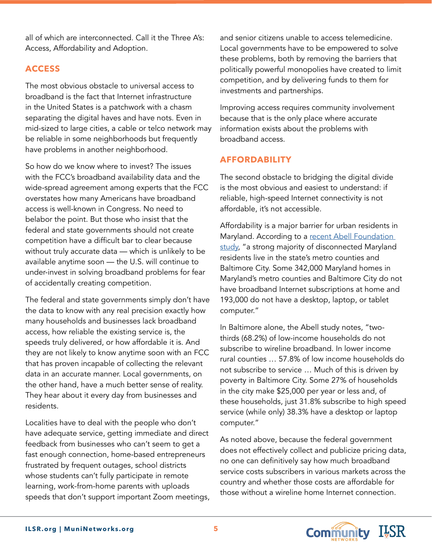all of which are interconnected. Call it the Three A's: Access, Affordability and Adoption.

### **ACCESS**

The most obvious obstacle to universal access to broadband is the fact that Internet infrastructure in the United States is a patchwork with a chasm separating the digital haves and have nots. Even in mid-sized to large cities, a cable or telco network may be reliable in some neighborhoods but frequently have problems in another neighborhood.

So how do we know where to invest? The issues with the FCC's broadband availability data and the wide-spread agreement among experts that the FCC overstates how many Americans have broadband access is well-known in Congress. No need to belabor the point. But those who insist that the federal and state governments should not create competition have a difficult bar to clear because without truly accurate data — which is unlikely to be available anytime soon — the U.S. will continue to under-invest in solving broadband problems for fear of accidentally creating competition.

The federal and state governments simply don't have the data to know with any real precision exactly how many households and businesses lack broadband access, how reliable the existing service is, the speeds truly delivered, or how affordable it is. And they are not likely to know anytime soon with an FCC that has proven incapable of collecting the relevant data in an accurate manner. Local governments, on the other hand, have a much better sense of reality. They hear about it every day from businesses and residents.

Localities have to deal with the people who don't have adequate service, getting immediate and direct feedback from businesses who can't seem to get a fast enough connection, home-based entrepreneurs frustrated by frequent outages, school districts whose students can't fully participate in remote learning, work-from-home parents with uploads speeds that don't support important Zoom meetings, and senior citizens unable to access telemedicine. Local governments have to be empowered to solve these problems, both by removing the barriers that politically powerful monopolies have created to limit competition, and by delivering funds to them for investments and partnerships.

Improving access requires community involvement because that is the only place where accurate information exists about the problems with broadband access.

### **AFFORDABILITY**

The second obstacle to bridging the digital divide is the most obvious and easiest to understand: if reliable, high-speed Internet connectivity is not affordable, it's not accessible.

Affordability is a major barrier for urban residents in Maryland. According to a recent Abell Foundation [study](https://abell.org/sites/default/files/files/2020_Abell_digital%20inclusion_full%20report_FINAL-web.pdf), "a strong majority of disconnected Maryland residents live in the state's metro counties and Baltimore City. Some 342,000 Maryland homes in Maryland's metro counties and Baltimore City do not have broadband Internet subscriptions at home and 193,000 do not have a desktop, laptop, or tablet computer."

In Baltimore alone, the Abell study notes, "twothirds (68.2%) of low-income households do not subscribe to wireline broadband. In lower income rural counties … 57.8% of low income households do not subscribe to service … Much of this is driven by poverty in Baltimore City. Some 27% of households in the city make \$25,000 per year or less and, of these households, just 31.8% subscribe to high speed service (while only) 38.3% have a desktop or laptop computer."

As noted above, because the federal government does not effectively collect and publicize pricing data, no one can definitively say how much broadband service costs subscribers in various markets across the country and whether those costs are affordable for those without a wireline home Internet connection.

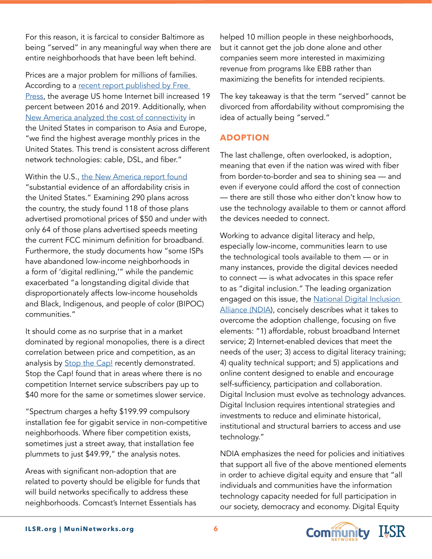For this reason, it is farcical to consider Baltimore as being "served" in any meaningful way when there are entire neighborhoods that have been left behind.

Prices are a major problem for millions of families. According to a recent report published by Free [Press](https://www.freepress.net/sites/default/files/2021-05/prices_too_high_and_rising_free_press_report.pdf), the average US home Internet bill increased 19 percent between 2016 and 2019. Additionally, when [New America analyzed the cost of connectivity](https://www.newamerica.org/oti/reports/cost-connectivity-2020/executive-summary) in the United States in comparison to Asia and Europe, "we find the highest average monthly prices in the United States. This trend is consistent across different network technologies: cable, DSL, and fiber."

Within the U.S., [the New America report found](https://www.newamerica.org/oti/reports/cost-connectivity-2020/executive-summary) "substantial evidence of an affordability crisis in the United States." Examining 290 plans across the country, the study found 118 of those plans advertised promotional prices of \$50 and under with only 64 of those plans advertised speeds meeting the current FCC minimum definition for broadband. Furthermore, the study documents how "some ISPs have abandoned low-income neighborhoods in a form of 'digital redlining,'" while the pandemic exacerbated "a longstanding digital divide that disproportionately affects low-income households and Black, Indigenous, and people of color (BIPOC) communities."

It should come as no surprise that in a market dominated by regional monopolies, there is a direct correlation between price and competition, as an analysis by **[Stop the Cap!](https://stopthecap.com/2021/05/26/a-tale-of-two-homes-in-spectrum-territory-what-competition-does-to-pricing/)** recently demonstrated. Stop the Cap! found that in areas where there is no competition Internet service subscribers pay up to \$40 more for the same or sometimes slower service.

"Spectrum charges a hefty \$199.99 compulsory installation fee for gigabit service in non-competitive neighborhoods. Where fiber competition exists, sometimes just a street away, that installation fee plummets to just \$49.99," the analysis notes.

Areas with significant non-adoption that are related to poverty should be eligible for funds that will build networks specifically to address these neighborhoods. Comcast's Internet Essentials has

helped 10 million people in these neighborhoods, but it cannot get the job done alone and other companies seem more interested in maximizing revenue from programs like EBB rather than maximizing the benefits for intended recipients.

The key takeaway is that the term "served" cannot be divorced from affordability without compromising the idea of actually being "served."

### **ADOPTION**

The last challenge, often overlooked, is adoption, meaning that even if the nation was wired with fiber from border-to-border and sea to shining sea — and even if everyone could afford the cost of connection — there are still those who either don't know how to use the technology available to them or cannot afford the devices needed to connect.

Working to advance digital literacy and help, especially low-income, communities learn to use the technological tools available to them — or in many instances, provide the digital devices needed to connect — is what advocates in this space refer to as "digital inclusion." The leading organization engaged on this issue, the National Digital Inclusion [Alliance \(NDIA](https://www.digitalinclusion.org/definitions/)), concisely describes what it takes to overcome the adoption challenge, focusing on five elements: "1) affordable, robust broadband Internet service; 2) Internet-enabled devices that meet the needs of the user; 3) access to digital literacy training; 4) quality technical support; and 5) applications and online content designed to enable and encourage self-sufficiency, participation and collaboration. Digital Inclusion must evolve as technology advances. Digital Inclusion requires intentional strategies and investments to reduce and eliminate historical, institutional and structural barriers to access and use technology."

NDIA emphasizes the need for policies and initiatives that support all five of the above mentioned elements in order to achieve digital equity and ensure that "all individuals and communities have the information technology capacity needed for full participation in our society, democracy and economy. Digital Equity